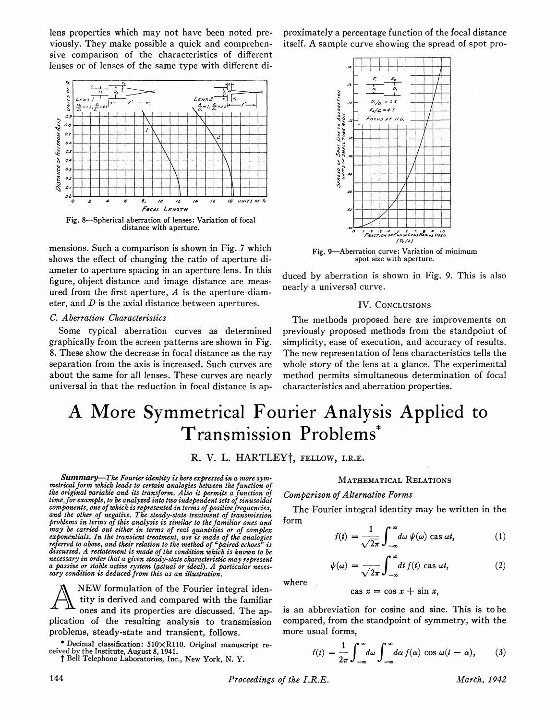lens properties which may not have been noted previously. They make possible a quick and comprehensive comparison of the characteristics of different lenses or of lenses of the same type with different di-



mensions. Such a comparison is shown in Fig. <sup>7</sup> which shows the effect of changing the ratio of aperture diameter to aperture spacing in an aperture lens. In this figure, object distance and image distance are measured from the first aperture,  $A$  is the aperture diameter, and D is the axial distance between apertures.

## C. Aberration Characteristics

Some typical aberration curves as determined graphically from the screen patterns are shown in Fig. 8. These show the decrease in focal distance as the ray separation from the axis is increased. Such curves are about the same for all lenses. These curves are nearly universal in that the reduction in focal distance is ap-

proximately a percentage function of the focal distance itself. A sample curve showing the spread of spot pro-



Fig. 9-Aberration curve: Variation of minimum spot size with aperture.

duced by aberration is shown in Fig. 9. This is also nearly a universal curve.

#### IV. CONCLUSIONS

The methods proposed here are improvements on previously proposed methods from the standpoint of simplicity, ease of execution, and accuracy of results. The new representation of lens characteristics tells the whole story of the lens at a glance. The experimental method permits simultaneous determination of focal characteristics and aberration properties.

# A More Symmetrical Fourier Analysis Applied to Transmission Problems\*

R. V. L. HARTLEY<sup>†</sup>, FELLOW, I.R.E.

form

Summary-The Fourier identity is here expressed in a more symmetrical form which leads to certain analogies between the function of the original variable and its transform. Also it permits a function of time, for example, to be analyzed into two independent sets of sinusoidal components, one of which is represented in terms of positive frequencies, and the other of negative. The steady-state treatment of transmission problems in terms of this analysis is similar to the familiar ones and may be carried out either in terms of real quantities or of complex exponentials. In the transient treatment, use is made of the analogies referred to above, and their relation to the method of "paired echoes" is discussed. A restatement is made of the condition which is known to be necessary in order that a given steady-state characteristic may represent a passive or stable active system (actual or ideal). A particular necessary condition is deduced from this as an illustration.

A NEW formulation of the Fourier integral identity is derived and compared with the familiar ones and its properties are discussed. The application of the resulting analysis to transmission problems, steady-state and transient, follows.

\*Decimal classification: 51OXR11O. Original manuscript received by the Institute, August 8, 1941.

<sup>t</sup> Bell Telephone Laboratories, Inc., New York, N. Y.

where  $\psi(\omega) = \frac{1}{\sqrt{2\pi}} \int_{-\infty}^{\infty} dt f(t) \cos \omega t,$ 

cas  $x = \cos x + \sin x$ ,

MATHEMATICAL RELATIONS

The Fourier integral identity may be written in the

 $f(t) = \frac{1}{\sqrt{2\pi}} \int d\omega \psi(\omega) \cos \omega t$ ,

Comparison of Alternative Forms

is an abbreviation for cosine and sine. This is to be compared, from the standpoint of symmetry, with the more usual forms,

$$
f(t) = \frac{1}{2\pi} \int_{-\infty}^{\infty} d\omega \int_{-\infty}^{\infty} d\alpha f(\alpha) \cos \omega (t - \alpha), \qquad (3)
$$

144 **Proceedings of the I.R.E.** March, 1942

(1)

(2)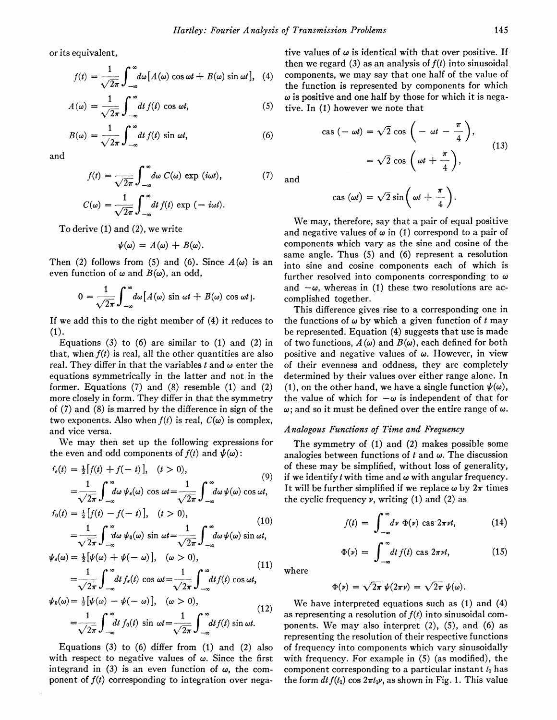or its equivalent,

$$
f(t) = \frac{1}{\sqrt{2\pi}} \int_{-\infty}^{\infty} d\omega \left[ A(\omega) \cos \omega t + B(\omega) \sin \omega t \right], \quad (4)
$$

$$
A(\omega) = \frac{1}{\sqrt{2\pi}} \int_{-\infty}^{\infty} dt f(t) \cos \omega t, \tag{5}
$$

$$
B(\omega) = \frac{1}{\sqrt{2\pi}} \int_{-\infty}^{\infty} dt f(t) \sin \omega t, \tag{6}
$$

and

$$
f(t) = \frac{1}{\sqrt{2\pi}} \int_{-\infty}^{\infty} d\omega \ C(\omega) \exp(i\omega t), \qquad (7)
$$

$$
C(\omega) = \frac{1}{\sqrt{2\pi}} \int_{-\infty}^{\infty} dt f(t) \exp(-i\omega t).
$$

To derive (1) and (2), we write

$$
\psi(\omega) = A(\omega) + B(\omega).
$$

Then (2) follows from (5) and (6). Since  $A(\omega)$  is an even function of  $\omega$  and  $B(\omega)$ , an odd,

$$
0 = \frac{1}{\sqrt{2\pi}} \int_{-\infty}^{\infty} d\omega [A(\omega) \sin \omega t + B(\omega) \cos \omega t].
$$

If we add this to the right member of (4) it reduces to (1).

Equations  $(3)$  to  $(6)$  are similar to  $(1)$  and  $(2)$  in that, when  $f(t)$  is real, all the other quantities are also real. They differ in that the variables t and  $\omega$  enter the equations symmetrically in the latter and not in the former. Equations (7) and (8) resemble (1) and (2) more closely in form. They differ in that the symmetry of (7) and (8) is marred by the difference in sign of the two exponents. Also when  $f(t)$  is real,  $C(\omega)$  is complex, and vice versa.

We may then set up the following expressions for the even and odd components of  $f(t)$  and  $\psi(\omega)$ :

$$
f_{\epsilon}(t) = \frac{1}{2} [f(t) + f(-t)], \quad (t > 0),
$$
  
= 
$$
\frac{1}{\sqrt{2\pi}} \int_{-\infty}^{\infty} d\omega \psi_{\epsilon}(\omega) \cos \omega t = \frac{1}{\sqrt{2\pi}} \int_{-\infty}^{\infty} d\omega \psi(\omega) \cos \omega t,
$$
 (9)

$$
f_0(t) = \frac{1}{2} [f(t) - f(-t)], \quad (t > 0),
$$
  

$$
= \frac{1}{\sqrt{2\pi}} \int_{-\infty}^{\infty} d\omega \psi_0(\omega) \sin \omega t = \frac{1}{\sqrt{2\pi}} \int_{-\infty}^{\infty} d\omega \psi(\omega) \sin \omega t,
$$
 (10)

$$
= \frac{1}{\sqrt{2\pi}} \int_{-\infty}^{\infty} d\omega \, \psi_0(\omega) \sin \omega t = \frac{1}{\sqrt{2\pi}} \int_{-\infty}^{\infty} d\omega \, \psi(\omega) \sin \omega t,
$$
  

$$
\psi_{\epsilon}(\omega) = \frac{1}{2} [\psi(\omega) + \psi(-\omega)], \quad (\omega > 0),
$$

$$
=\frac{1}{\sqrt{2\pi}}\int_{-\infty}^{\infty}dt\,f_{\epsilon}(t)\,\cos\,\omega t=\frac{1}{\sqrt{2\pi}}\int_{-\infty}^{\infty}dt\,f(t)\,\cos\,\omega t,\qquad (11)
$$

$$
\psi_0(\omega) = \frac{1}{2} [\psi(\omega) - \psi(-\omega)], \quad (\omega > 0),
$$
  
= 
$$
\frac{1}{\sqrt{2\pi}} \int_{-\infty}^{\infty} dt f_0(t) \sin \omega t = \frac{1}{\sqrt{2\pi}} \int_{-\infty}^{\infty} dt f(t) \sin \omega t.
$$
 (12)

Equations (3) to (6) differ from  $(1)$  and  $(2)$  also with respect to negative values of  $\omega$ . Since the first integrand in (3) is an even function of  $\omega$ , the component of  $f(t)$  corresponding to integration over negative values of  $\omega$  is identical with that over positive. If then we regard (3) as an analysis of  $f(t)$  into sinusoidal components, we may say that one half of the value of the function is represented by components for which  $\omega$  is positive and one half by those for which it is negative. In  $(1)$  however we note that

$$
\begin{aligned} \n\text{cas } (-\omega t) &= \sqrt{2} \, \text{cos} \, \left( -\omega t - \frac{\pi}{4} \right), \\ \n&= \sqrt{2} \, \text{cos} \, \left( \omega t + \frac{\pi}{4} \right), \n\end{aligned} \tag{13}
$$

and

$$
\cos(\omega t) = \sqrt{2} \sin\left(\omega t + \frac{\pi}{4}\right).
$$

We may, therefore, say that <sup>a</sup> pair of equal positive and negative values of  $\omega$  in (1) correspond to a pair of components which vary as the sine and cosine of the same angle. Thus (5) and (6) represent a resolution into sine and cosine components each of which is further resolved into components corresponding to  $\omega$ and  $-\omega$ , whereas in (1) these two resolutions are accomplished together.

This difference gives rise to a corresponding one in the functions of  $\omega$  by which a given function of t may be represented. Equation (4) suggests that use is made of two functions,  $A(\omega)$  and  $B(\omega)$ , each defined for both positive and negative values of  $\omega$ . However, in view of their evenness and oddness, they are completely determined by their values over either range alone. In (1), on the other hand, we have a single function  $\psi(\omega)$ , the value of which for  $-\omega$  is independent of that for  $\omega$ ; and so it must be defined over the entire range of  $\omega$ .

#### Analogous Functions of Time and Frequency

The symmetry of (1) and (2) makes possible some analogies between functions of  $t$  and  $\omega$ . The discussion of these may be simplified, without loss of generality, if we identify t with time and  $\omega$  with angular frequency. It will be further simplified if we replace  $\omega$  by  $2\pi$  times the cyclic frequency  $\nu$ , writing (1) and (2) as

$$
f(t) = \int_{-\infty}^{\infty} d\nu \Phi(\nu) \cos 2\pi \nu t, \qquad (14)
$$

$$
\Phi(v) = \int_{-\infty}^{\infty} dt f(t) \text{ cas } 2\pi vt,
$$
 (15)

where

$$
\Phi(\nu) = \sqrt{2\pi} \ \psi(2\pi\nu) = \sqrt{2\pi} \ \psi(\omega).
$$

We have interpreted equations such as (1) and (4) as representing a resolution of  $f(t)$  into sinusoidal components. We may also interpret (2), (5), and (6) as representing the resolution of their respective functions of frequency into components which vary sinusoidally with frequency. For example in (5) (as modified), the component corresponding to a particular instant  $t_1$  has the form  $dt f(t_1) \cos 2\pi t_1 \nu$ , as shown in Fig. 1. This value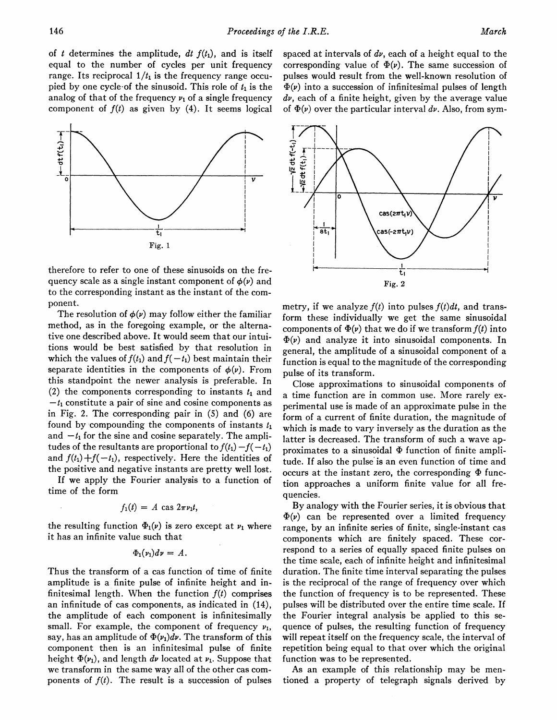of t determines the amplitude,  $dt f(t_1)$ , and is itself equal to the number of cycles per unit frequency range. Its reciprocal  $1/t_1$  is the frequency range occupied by one cycle-of the sinusoid. This role of  $t_1$  is the analog of that of the frequency  $\nu_1$  of a single frequency component of  $f(t)$  as given by (4). It seems logical



therefore to refer to one of these sinusoids on the frequency scale as a single instant component of  $\phi(\nu)$  and to the corresponding instant as the instant of the component.

The resolution of  $\phi(\nu)$  may follow either the familiar method, as in the foregoing example, or the alternative one described above. It would seem that our intuitions would be best satisfied by that resolution in which the values of  $f(t_1)$  and  $f(-t_1)$  best maintain their separate identities in the components of  $\phi(\nu)$ . From this standpoint the newer analysis is preferable. In (2) the components corresponding to instants  $t_1$  and  $-t_1$  constitute a pair of sine and cosine components as in Fig. 2. The corresponding pair in (5) and (6) are found by compounding the components of instants  $t_1$ and  $-t_1$  for the sine and cosine separately. The amplitudes of the resultants are proportional to  $f(t_1) - f(-t_1)$ and  $f(t_1) + f(-t_1)$ , respectively. Here the identities of the positive and negative instants are pretty well lost.

If we apply the Fourier analysis to a function of time of the form

$$
f_1(t) = A \, \text{cas } 2\pi \nu_1 t,
$$

the resulting function  $\Phi_1(\nu)$  is zero except at  $\nu_1$  where it has an infinite value such that

$$
\Phi_1(\nu_1)d\nu=A.
$$

Thus the transform of a cas function of time of finite amplitude is a finite pulse of infinite height and infinitesimal length. When the function  $f(t)$  comprises an infinitude of cas components, as indicated in (14), the amplitude of each component is infinitesimally small. For example, the component of frequency  $\nu_1$ , say, has an amplitude of  $\Phi(\nu_1)d\nu$ . The transform of this component then is an infinitesimal pulse of finite height  $\Phi(\nu_1)$ , and length dv located at  $\nu_1$ . Suppose that we transform in the same way all of the other cas components of  $f(t)$ . The result is a succession of pulses

corresponding value of  $\Phi(\nu)$ . The same succession of pulses would result from the well-known resolution of  $\Phi(\nu)$  into a succession of infinitesimal pulses of length  $dv$ , each of a finite height, given by the average value of  $\Phi(\nu)$  over the particular interval dv. Also, from sym-

spaced at intervals of  $dv$ , each of a height equal to the



metry, if we analyze  $f(t)$  into pulses  $f(t)dt$ , and transform these individually we get the same sinusoidal components of  $\Phi(\nu)$  that we do if we transform  $f(t)$  into  $\Phi(\nu)$  and analyze it into sinusoidal components. In general, the amplitude of a sinusoidal component of a function is equal to the magnitude of the corresponding pulse of its transform.

Close approximations to sinusoidal components of a time function are in common use. More rarely experimental use is made of an approximate pulse in the form of a current of finite duration, the magnitude of which is made to vary inversely as the duration as the latter is decreased. The transform of such a wave approximates to a sinusoidal  $\Phi$  function of finite amplitude. If also the pulse is an even function of time and occurs at the instant zero, the corresponding  $\Phi$  function approaches a uniform finite value for all frequencies.

By analogy with the Fourier series, it is obvious that  $\Phi(\nu)$  can be represented over a limited frequency range, by an infinite series of finite, single-instant cas components which are finitely spaced. These correspond to a series of equally spaced finite pulses on the time scale, each of infinite height and infinitesimal duration. The finite time interval separating the pulses is the reciprocal of the range of frequency over which the function of frequency is to be represented. These pulses will be distributed over the entire time scale. If the Fourier integral analysis be applied to this sequence of pulses, the resulting function of frequency will repeat itself on the frequency scale, the interval of repetition being equal to that over which the original function was to be represented.

As an example of this relationship may be mentioned a property of telegraph signals derived by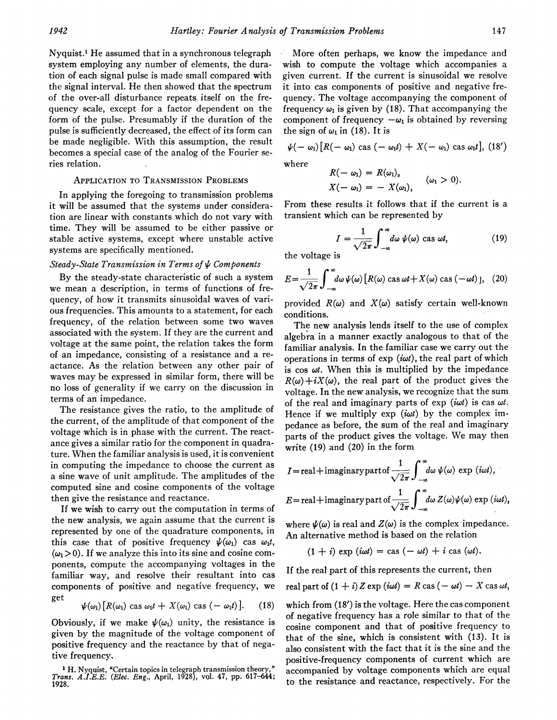Nyquist.' He assumed that in a synchronous telegraph system employing any number of elements, the duration of each signal pulse is made small compared with the signal interval. He then showed that the spectrum of the over-all disturbance repeats itself on the frequency scale, except for a factor dependent on the form of the pulse. Presumably if the duration of the pulse is sufficiently decreased, the effect of its form can be made negligible. With this assumption, the result becomes a special case of the analog of the Fourier series relation.

## APPLICATION TO TRANSMISSION PROBLEMS

In applying the foregoing to transmission problems it will be assumed that the systems under consideration are linear with constants which do not vary with time. They will be assumed to be either passive or stable active systems, except where unstable active systems are specifically mentioned.

### Steady-State Transmission in Terms of  $\psi$  Components

By the steady-state characteristic of such a system we mean a description, in terms of functions of frequency, of how it transmits sinusoidal waves of various frequencies. This amounts to a statement, for each frequency, of the relation between some two waves associated with the system. If they are the current and voltage at the same point, the relation takes the form of an impedance, consisting of a resistance and a reactance. As the relation between any other pair of waves may be expressed in similar form, there will be no loss of generality if we carry on the discussion in terms of an impedance.

The resistance gives the ratio, to the amplitude of the current, of the amplitude of that component of the voltage which is in phase with the current. The reactance gives a similar ratio for the component in quadrature. When the familiar analysis is used, it is convenient in computing the impedance to choose the current as a sine wave of unit amplitude. The amplitudes of the computed sine and cosine components of the voltage then give the resistance and reactance.

If we wish to carry out the computation in terms of the new analysis, we again assume that the current is represented by one of the quadrature components, in this case that of positive frequency  $\psi(\omega_1)$  cas  $\omega_1 t$ ,  $(\omega_1 > 0)$ . If we analyze this into its sine and cosine components, compute the accompanying voltages in the familiar way, and resolve their resultant into cas components of positive and negative frequency, we

$$
\psi(\omega_1)[R(\omega_1) \text{ cas } \omega_1 t + X(\omega_1) \text{ cas } (-\omega_1 t)]. \quad (18)
$$

Obviously, if we make  $\psi(\omega_1)$  unity, the resistance is given by the magnitude of the voltage component of positive frequency and the reactance by that of negative frequency.

More often perhaps, we know the impedance and wish to compute the voltage which accompanies a given current. If the current is sinusoidal we resolve it into cas components of positive and negative frequency. The voltage accompanying the component of frequency  $\omega_1$  is given by (18). That accompanying the component of frequency  $-\omega_1$  is obtained by reversing the sign of  $\omega_1$  in (18). It is

$$
\psi(-\omega_1)[R(-\omega_1)\,\cos(-\omega_1t)+X(-\omega_1)\,\cos\omega_1t],\,(18')
$$

where

$$
R(-\omega_1) = R(\omega_1),
$$
  
 
$$
X(-\omega_1) = -X(\omega_1), \qquad (\omega_1 > 0).
$$

From these results it follows that if the current is a transient which can be represented by

$$
I = \frac{1}{\sqrt{2\pi}} \int_{-\infty}^{\infty} d\omega \, \psi(\omega) \text{ cas } \omega t,\tag{19}
$$

the voltage is

$$
E = \frac{1}{\sqrt{2\pi}} \int_{-\infty}^{\infty} d\omega \, \psi(\omega) \left[ R(\omega) \, \text{cas} \, \omega t + X(\omega) \, \text{cas} \, (-\omega t) \, \right], \tag{20}
$$

provided  $R(\omega)$  and  $X(\omega)$  satisfy certain well-known conditions.

The new analysis lends itself to the use of complex algebra in a manner exactly analogous to that of the familiar analysis. In the familiar case we carry out the operations in terms of  $exp(i\omega t)$ , the real part of which is  $\cos \omega t$ . When this is multiplied by the impedance  $R(\omega) + iX(\omega)$ , the real part of the product gives the voltage. In the new analysis, we recognize that the sum of the real and imaginary parts of  $exp(i\omega t)$  is cas  $\omega t$ . Hence if we multiply  $exp(i\omega t)$  by the complex impedance as before, the sum of the real and imaginary parts of the product gives the voltage. We may then write (19) and (20) in the form

$$
I = \text{real} + \text{imaginary part of } \frac{1}{\sqrt{2\pi}} \int_{-\infty}^{\infty} d\omega \, \psi(\omega) \, \exp(i\omega t),
$$
  

$$
E = \text{real} + \text{imaginary part of } \frac{1}{\sqrt{2\pi}} \int_{-\infty}^{\infty} d\omega \, Z(\omega) \psi(\omega) \, \exp(i\omega t),
$$

where  $\psi(\omega)$  is real and  $Z(\omega)$  is the complex impedance. An alternative method is based on the relation

$$
(1 + i) \exp(i\omega t) = \cos(-\omega t) + i \cos(\omega t).
$$

If the real part of this represents the current, then

real part of 
$$
(1 + i) Z \exp(i\omega t) = R \cos(-\omega t) - X \cos \omega t
$$
,

which from (18') is the voltage. Here the cas component of negative frequency has a role similar to that of the cosine component and that of positive frequency to that of the sine, which is consistent with (13). It is also consistent with the fact that it is the sine and the positive-frequency components of current which are accompanied by voltage. components which are equal to the resistance and reactance, respectively. For the

<sup>1</sup> H. Nyquist, 'Certain topics in telegraph transmission theory," Trans. A.L.E.E. (Etec. Eng., April, 1928), vol. 47, pp. 617-644; 1928.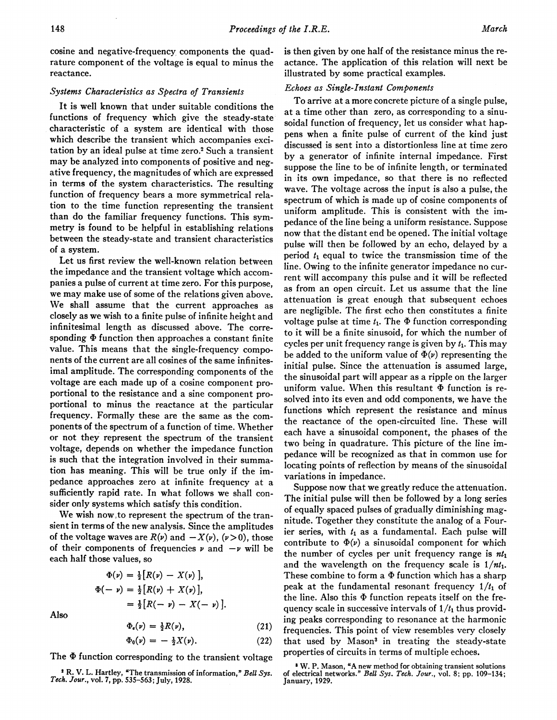cosine and negative-frequency components the quadrature component of the voltage is equal to minus the reactance.

## Systems Characteristics as Spectra of Transients

It is well known that under suitable conditions the functions of frequency which give the steady-state characteristic of a system are identical with those which describe the transient which accompanies excitation by an ideal pulse at time zero.<sup>2</sup> Such a transient may be analyzed into components of positive and negative frequency, the magnitudes of which are expressed in terms of the system characteristics. The resulting function of frequency bears a more symmetrical relation to the time function representing the transient than do the familiar frequency functions. This symmetry is found to be helpful in establishing relations between the steady-state and transient characteristics of a system.

Let us first review the well-known relation between the impedance and the transient voltage which accompanies a pulse of current at time zero. For this purpose, we may make use of some of the relations given above. We shall assume that the current approaches as closely as we wish to a finite pulse of infinite height and infinitesimal length as discussed above. The corresponding  $\Phi$  function then approaches a constant finite value. This means that the single-frequency components of the current are all cosines of the same infinitesimal amplitude. The corresponding components of the voltage are each made up of a cosine component proportional to the resistance and a sine component proportional to minus the reactance at the particular frequency. Formally these are the same as the components of the spectrum of a function of time. Whether or not they represent the spectrum of the transient voltage, depends on whether the impedance function is such that the integration involved in their summation has meaning. This will be true only if the impedance approaches zero at infinite frequency at a sufficiently rapid rate. In what follows we shall consider only systems which satisfy this condition.

We wish now,to represent the spectrum of the transient in terms of the new analysis. Since the amplitudes of the voltage waves are  $R(\nu)$  and  $-X(\nu)$ ,  $(\nu>0)$ , those of their components of frequencies  $\nu$  and  $-\nu$  will be each half those values, so

$$
\Phi(\nu) = \frac{1}{2} [R(\nu) - X(\nu)],
$$
  
\n
$$
\Phi(-\nu) = \frac{1}{2} [R(\nu) + X(\nu)],
$$
  
\n
$$
= \frac{1}{2} [R(-\nu) - X(-\nu)].
$$

Also

$$
\begin{aligned}\n\Phi_e(\nu) &= \frac{1}{2}R(\nu), \\
\Phi_0(\nu) &= -\frac{1}{2}X(\nu). \n\end{aligned} \n\tag{21}
$$

The  $\Phi$  function corresponding to the transient voltage

is then given by one half of the resistance minus the reactance. The application of this relation will next be illustrated by some practical examples.

## Echoes as Single-Instant Components

To arrive at a more concrete picture of a single pulse, at a time other than zero, as corresponding to a sinusoidal function of frequency, let us consider what happens when a finite pulse of current of the kind just discussed is sent into a distortionless line at time zero by a generator of infinite internal impedance. First suppose the line to be of infinite length, or terminated in its own impedance, so that there is no reflected wave. The voltage across the input is also a pulse, the spectrum of which is made up of cosine components of uniform amplitude. This is consistent with the impedance of the line being a uniform resistance. Suppose now that the distant end be opened. The initial voltage pulse will then be followed by an echo, delayed by a period  $t_1$  equal to twice the transmission time of the line. Owing to the infinite generator impedance no current will accompany this pulse and it will be reflected as from an open circuit. Let us assume that the line attenuation is great enough that subsequent echoes are negligible. The first echo then constitutes a finite voltage pulse at time  $t_1$ . The  $\Phi$  function corresponding to it will be a finite sinusoid, for which the number of cycles per unit frequency range is given by  $t_1$ . This may be added to the uniform value of  $\Phi(\nu)$  representing the initial pulse. Since the attenuation is assumed large, the sinusoidal part wilI appear as a ripple on the larger uniform value. When this resultant  $\Phi$  function is resolved into its even and odd components, we have the functions which represent the resistance and minus the reactance of the open-circuited line. These will each have a sinusoidal component, the phases of the two being in quadrature. This picture of the line impedance will be recognized as that in common use for locating points of reflection by means of the sinusoidal variations in impedance.

Suppose now that we greatly reduce the attenuation. The initial pulse will then be followed by a long series of equally spaced pulses of gradually diminishing magnitude. Together they constitute the analog of a Fourier series, with  $t_1$  as a fundamental. Each pulse will contribute to  $\Phi(\nu)$  a sinusoidal component for which the number of cycles per unit frequency range is  $nt_1$ and the wavelength on the frequency scale is  $1/nt_1$ . These combine to form a  $\Phi$  function which has a sharp peak at the fundamental resonant frequency  $1/t_1$  of the line. Also this  $\Phi$  function repeats itself on the frequency scale in successive intervals of  $1/t_1$  thus providing peaks corresponding to resonance at the harmonic frequencies. This point of view resembles very closely that used by Mason<sup>3</sup> in treating the steady-state properties of circuits in terms of multiple echoes.

<sup>&</sup>lt;sup>2</sup> R. V. L. Hartley, "The transmission of information." Bell Sys. Tech. Jour., vol. 7, pp. 535-563; July, 1928.

<sup>a</sup> W. P. Mason, "A new method for obtaining transient solutions of electrical networks." Bell Sys. Tech. Jour., vol. 8; pp. 109-134; January, 1929.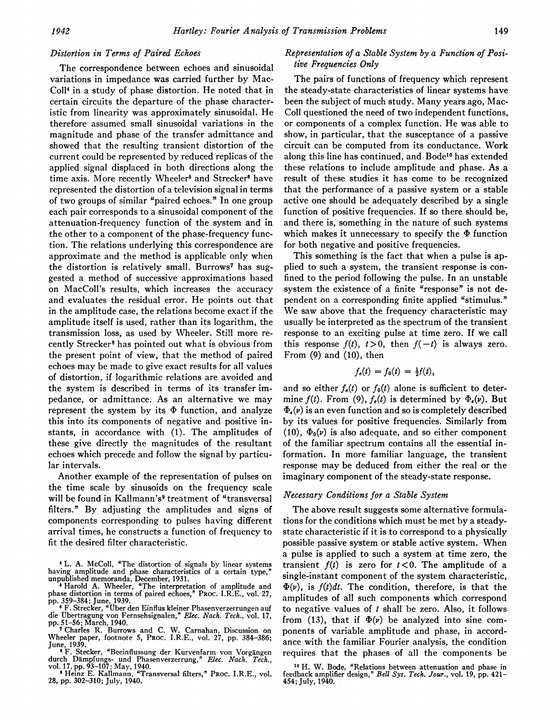## Distortion in Terms of Paired Echoes

The correspondence between echoes and sinusoidal variations in impedance was carried further by Mac-Coll4 in a study of phase distortion. He noted that in certain circuits the departure of the phase characteristic from linearity was approximately sinusoidal. He therefore assumed small sinusoidal variations in the magnitude and phase of the transfer admittance and showed that the resulting transient distortion of the current could be represented by reduced replicas of the applied signal displaced in both directions along the time axis. More recently Wheeler<sup>5</sup> and Strecker<sup>6</sup> have represented the distortion of a television signal in terms of two groups of similar "paired echoes." In one group each pair corresponds to a sinusoidal component of the attenuation-frequency function of the system and in the other to a component of the phase-frequency function. The relations underlying this correspondence are approximate and the method is applicable only when the distortion is relatively small. Burrows<sup>7</sup> has suggested a method of successive approximations based on MacColl's results, which increases the accuracy and evaluates the residual error. He points out that in the amplitude case, the relations become exact if the amplitude itself is used, rather than its logarithm, the transmission loss, as used by Wheeler. Still more recently Strecker8 has pointed out what is obvious from the present point of view, that the method of paired echoes may be made to give exact results for all values of distortion, if logarithmic relations are avoided and the system is described in terms of its transfer impedance, or admittance. As an alternative we may represent the system by its  $\Phi$  function, and analyze this into its components of negative and positive instants, in accordance with (1). The amplitudes of these give directly the magnitudes of the resultant echoes which precede and follow the signal by particular intervals.

Another example of the representation of pulses on the time scale by sinusoids on the frequency scale will be found in Kallmann's<sup>9</sup> treatment of "transversal filters." By adjusting the amplitudes and signs of components corresponding to pulses having different arrival times, he constructs a function of frequency to fit the desired filter characteristic.

## Representation of a Stable System by a Function of Positive Frequencies Only

The pairs of functions of frequency which represent the steady-state characteristics of linear systems have been the subject of much study. Many years ago, Mac-Coll questioned the need of two independent functions, or components of a complex function. He was able to show, in particular, that the susceptance of a passive circuit can be computed from its conductance. Work along this line has continued, and Bode<sup>10</sup> has extended these relations to include amplitude and phase. As a result of these studies it has come to be recognized that the performance of a passive system or a stable active one should be adequately described by a single function of positive frequencies. If so there should be, and there is, something in the nature of such systems which makes it unnecessary to specify the  $\Phi$  function for both negative and positive frequencies.

This something is the fact that when a pulse is applied to such a system, the transient response is confined to the period following the pulse. In an unstable system the existence of a finite "response" is not dependent on a corresponding finite applied "stimulus." We saw above that the frequency characteristic may usually be interpreted as the spectrum of the transient response to an exciting pulse at time zero. If we call this response  $f(t)$ ,  $t > 0$ , then  $f(-t)$  is always zero. From (9) and (10), then

$$
f_e(t) = f_0(t) = \frac{1}{2}f(t),
$$

and so either  $f_{\theta}(t)$  or  $f_{0}(t)$  alone is sufficient to determine  $f(t)$ . From (9),  $f_{e}(t)$  is determined by  $\Phi_{e}(v)$ . But  $\Phi_{\epsilon}(\nu)$  is an even function and so is completely described by its values for positive frequencies. Similarly from (10),  $\Phi_0(\nu)$  is also adequate, and so either component of the familiar spectrum contains all the essential information. In more familiar language, the transient response may be deduced from either the real or the imaginary component of the steady-state response.

## Necessary Conditions for a Stable System

The above result suggests some alternative formulations for the conditions which must be met by a steadystate characteristic if it is to correspond to a physically possible passive system or stable active system. When a pulse is applied to such a system at time zero, the transient  $f(t)$  is zero for  $t < 0$ . The amplitude of a single-instant component of the system characteristic,  $\Phi(v)$ , is  $f(t)dt$ . The condition, therefore, is that the amplitudes of all such components which correspond to negative values of  $t$  shall be zero. Also, it follows from (13), that if  $\Phi(\nu)$  be analyzed into sine components of variable amplitude and phase, in accordance with the familiar Fourier analysis, the condition requires that the phases of all the components be

<sup>4</sup> L. A. McColl, 'The distortion of signals by linear systems having amplitude and phase characteristics of a certain type,' unpublished memoranda, December, 1931.

Harold A. Wheeler, "The interpretation of amplitude and phase distortion in terms of paired echoes," PROC. I.R.E., vol. 27,

pp. 359-384; June, 1939. <sup>6</sup> F. Strecker, "tber den Einflus kleiner Phasenverzerrungen auf die Ubertragung von Fernsehsignalen," Elec. Nach. Tech., vol. 17,

pp. 51-56; March, 1940. <sup>7</sup> Charles R. Burrows and C. W. Carnahan, Discussion on Wheeler paper, footnote 5, PROC. I.R.E., vol. 27, pp. 384-386;

June, 1939. <sup>8</sup> F. Stecker, "Beeinflussung der Kurvenfarm von Vorgatngen durch Dämpfungs- und Phasenverzerrung," *Elec. Nach. Tech.*,<br>17, pp. 93–107; May, 1940.<br>9 Heinz E. Kallmann, "Transversal filters," Proc. I.R.E., vol.

<sup>28,</sup> pp. 302-310; July, 1940.

<sup>10</sup> H. W. Bode, "Relations between attenuation and phase in feedback amplifier design," Bell Sys. Tech. Jour., vol. 19, pp. 421- 454; July, 1940.